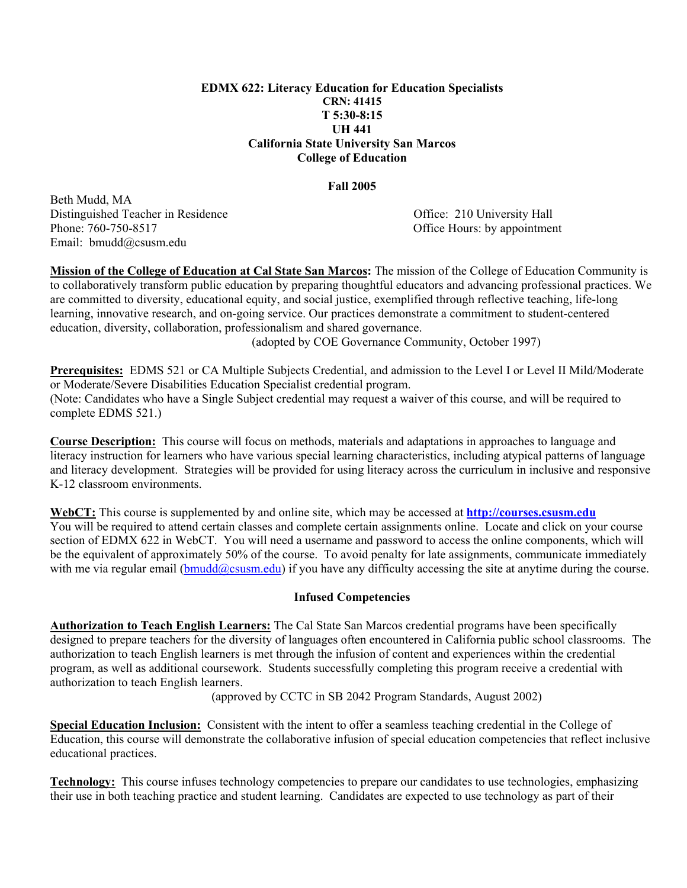#### **EDMX 622: Literacy Education for Education Specialists CRN: 41415 T 5:30-8:15 UH 441 California State University San Marcos College of Education**

#### **Fall 2005**

Beth Mudd, MA Distinguished Teacher in Residence Office: 210 University Hall Phone: 760-750-8517 **Office Hours: by appointment** Email: bmudd@csusm.edu

**Mission of the College of Education at Cal State San Marcos:** The mission of the College of Education Community is to collaboratively transform public education by preparing thoughtful educators and advancing professional practices. We are committed to diversity, educational equity, and social justice, exemplified through reflective teaching, life-long learning, innovative research, and on-going service. Our practices demonstrate a commitment to student-centered education, diversity, collaboration, professionalism and shared governance.

(adopted by COE Governance Community, October 1997)

**Prerequisites:** EDMS 521 or CA Multiple Subjects Credential, and admission to the Level I or Level II Mild/Moderate or Moderate/Severe Disabilities Education Specialist credential program. (Note: Candidates who have a Single Subject credential may request a waiver of this course, and will be required to complete EDMS 521.)

**Course Description:** This course will focus on methods, materials and adaptations in approaches to language and literacy instruction for learners who have various special learning characteristics, including atypical patterns of language and literacy development. Strategies will be provided for using literacy across the curriculum in inclusive and responsive K-12 classroom environments.

**WebCT:** This course is supplemented by and online site, which may be accessed at **http://courses.csusm.edu** You will be required to attend certain classes and complete certain assignments online. Locate and click on your course section of EDMX 622 in WebCT. You will need a username and password to access the online components, which will be the equivalent of approximately 50% of the course. To avoid penalty for late assignments, communicate immediately with me via regular email ( $bmudd@cssum.edu$ ) if you have any difficulty accessing the site at anytime during the course.

#### **Infused Competencies**

**Authorization to Teach English Learners:** The Cal State San Marcos credential programs have been specifically designed to prepare teachers for the diversity of languages often encountered in California public school classrooms. The authorization to teach English learners is met through the infusion of content and experiences within the credential program, as well as additional coursework. Students successfully completing this program receive a credential with authorization to teach English learners.

(approved by CCTC in SB 2042 Program Standards, August 2002)

**Special Education Inclusion:** Consistent with the intent to offer a seamless teaching credential in the College of Education, this course will demonstrate the collaborative infusion of special education competencies that reflect inclusive educational practices.

**Technology:** This course infuses technology competencies to prepare our candidates to use technologies, emphasizing their use in both teaching practice and student learning. Candidates are expected to use technology as part of their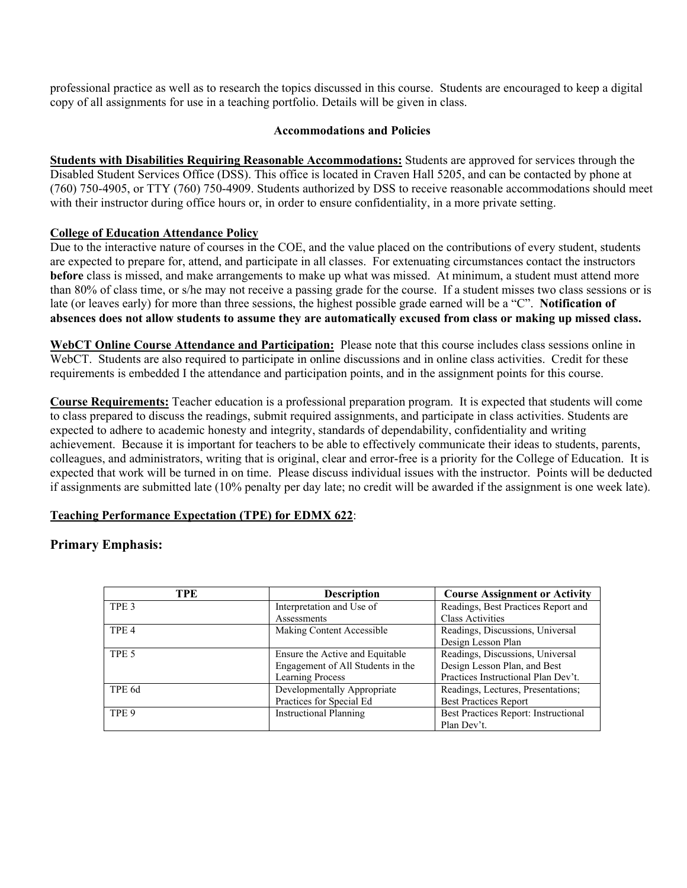professional practice as well as to research the topics discussed in this course. Students are encouraged to keep a digital copy of all assignments for use in a teaching portfolio. Details will be given in class.

#### **Accommodations and Policies**

**Students with Disabilities Requiring Reasonable Accommodations:** Students are approved for services through the Disabled Student Services Office (DSS). This office is located in Craven Hall 5205, and can be contacted by phone at (760) 750-4905, or TTY (760) 750-4909. Students authorized by DSS to receive reasonable accommodations should meet with their instructor during office hours or, in order to ensure confidentiality, in a more private setting.

# **College of Education Attendance Policy**

Due to the interactive nature of courses in the COE, and the value placed on the contributions of every student, students are expected to prepare for, attend, and participate in all classes. For extenuating circumstances contact the instructors **before** class is missed, and make arrangements to make up what was missed. At minimum, a student must attend more than 80% of class time, or s/he may not receive a passing grade for the course. If a student misses two class sessions or is late (or leaves early) for more than three sessions, the highest possible grade earned will be a "C". **Notification of absences does not allow students to assume they are automatically excused from class or making up missed class.** 

**WebCT Online Course Attendance and Participation:** Please note that this course includes class sessions online in WebCT. Students are also required to participate in online discussions and in online class activities. Credit for these requirements is embedded I the attendance and participation points, and in the assignment points for this course.

**Course Requirements:** Teacher education is a professional preparation program. It is expected that students will come to class prepared to discuss the readings, submit required assignments, and participate in class activities. Students are expected to adhere to academic honesty and integrity, standards of dependability, confidentiality and writing achievement. Because it is important for teachers to be able to effectively communicate their ideas to students, parents, colleagues, and administrators, writing that is original, clear and error-free is a priority for the College of Education. It is expected that work will be turned in on time. Please discuss individual issues with the instructor. Points will be deducted if assignments are submitted late (10% penalty per day late; no credit will be awarded if the assignment is one week late).

# **Teaching Performance Expectation (TPE) for EDMX 622**:

# **Primary Emphasis:**

| TPE              | <b>Description</b>                | <b>Course Assignment or Activity</b> |
|------------------|-----------------------------------|--------------------------------------|
| TPE <sub>3</sub> | Interpretation and Use of         | Readings, Best Practices Report and  |
|                  | Assessments                       | <b>Class Activities</b>              |
| TPE <sub>4</sub> | Making Content Accessible         | Readings, Discussions, Universal     |
|                  |                                   | Design Lesson Plan                   |
| TPE <sub>5</sub> | Ensure the Active and Equitable   | Readings, Discussions, Universal     |
|                  | Engagement of All Students in the | Design Lesson Plan, and Best         |
|                  | <b>Learning Process</b>           | Practices Instructional Plan Dev't.  |
| TPE 6d           | Developmentally Appropriate       | Readings, Lectures, Presentations;   |
|                  | Practices for Special Ed          | <b>Best Practices Report</b>         |
| TPE 9            | <b>Instructional Planning</b>     | Best Practices Report: Instructional |
|                  |                                   | Plan Dev't.                          |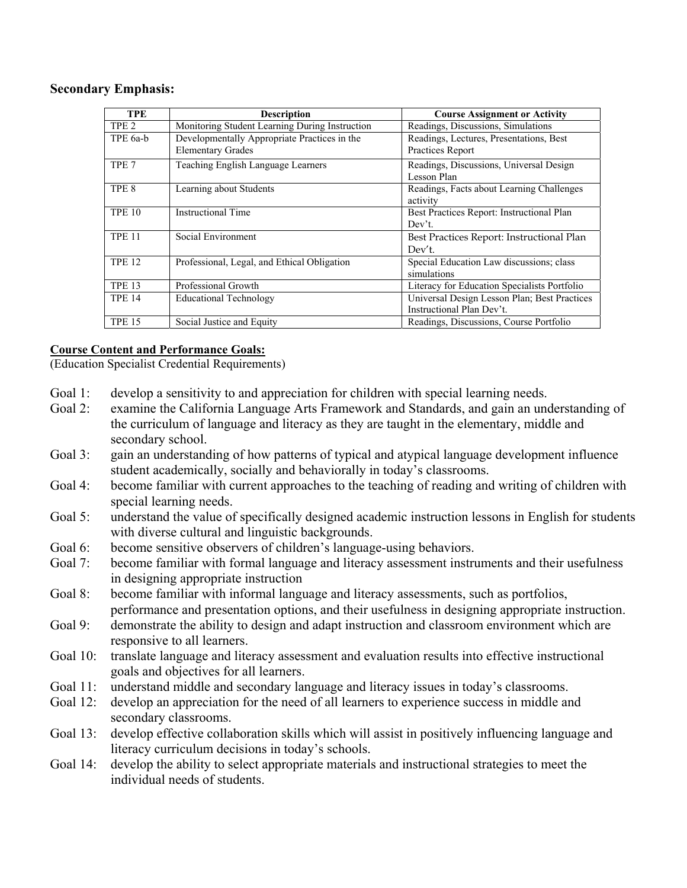## **Secondary Emphasis:**

| <b>TPE</b>       | <b>Description</b>                             | <b>Course Assignment or Activity</b>         |
|------------------|------------------------------------------------|----------------------------------------------|
| TPE <sub>2</sub> | Monitoring Student Learning During Instruction | Readings, Discussions, Simulations           |
| TPE 6a-b         | Developmentally Appropriate Practices in the   | Readings, Lectures, Presentations, Best      |
|                  | <b>Elementary Grades</b>                       | Practices Report                             |
| TPE <sub>7</sub> | Teaching English Language Learners             | Readings, Discussions, Universal Design      |
|                  |                                                | Lesson Plan                                  |
| TPE <sub>8</sub> | Learning about Students                        | Readings, Facts about Learning Challenges    |
|                  |                                                | activity                                     |
| <b>TPE 10</b>    | <b>Instructional Time</b>                      | Best Practices Report: Instructional Plan    |
|                  |                                                | Dev't.                                       |
| <b>TPE 11</b>    | Social Environment                             | Best Practices Report: Instructional Plan    |
|                  |                                                | Dev't                                        |
| <b>TPE 12</b>    | Professional, Legal, and Ethical Obligation    | Special Education Law discussions; class     |
|                  |                                                | simulations                                  |
| <b>TPE 13</b>    | Professional Growth                            | Literacy for Education Specialists Portfolio |
| <b>TPE 14</b>    | <b>Educational Technology</b>                  | Universal Design Lesson Plan; Best Practices |
|                  |                                                | Instructional Plan Dev't.                    |
| <b>TPE 15</b>    | Social Justice and Equity                      | Readings, Discussions, Course Portfolio      |

# **Course Content and Performance Goals:**

(Education Specialist Credential Requirements)

- Goal 1: develop a sensitivity to and appreciation for children with special learning needs.
- Goal 2: examine the California Language Arts Framework and Standards, and gain an understanding of the curriculum of language and literacy as they are taught in the elementary, middle and secondary school.
- Goal 3: gain an understanding of how patterns of typical and atypical language development influence student academically, socially and behaviorally in today's classrooms.
- Goal 4: become familiar with current approaches to the teaching of reading and writing of children with special learning needs.
- Goal 5: understand the value of specifically designed academic instruction lessons in English for students with diverse cultural and linguistic backgrounds.
- Goal 6: become sensitive observers of children's language-using behaviors.
- Goal 7: become familiar with formal language and literacy assessment instruments and their usefulness in designing appropriate instruction
- Goal 8: become familiar with informal language and literacy assessments, such as portfolios, performance and presentation options, and their usefulness in designing appropriate instruction.
- Goal 9: demonstrate the ability to design and adapt instruction and classroom environment which are responsive to all learners.
- Goal 10: translate language and literacy assessment and evaluation results into effective instructional goals and objectives for all learners.
- Goal 11: understand middle and secondary language and literacy issues in today's classrooms.
- Goal 12: develop an appreciation for the need of all learners to experience success in middle and secondary classrooms.
- Goal 13: develop effective collaboration skills which will assist in positively influencing language and literacy curriculum decisions in today's schools.
- Goal 14: develop the ability to select appropriate materials and instructional strategies to meet the individual needs of students.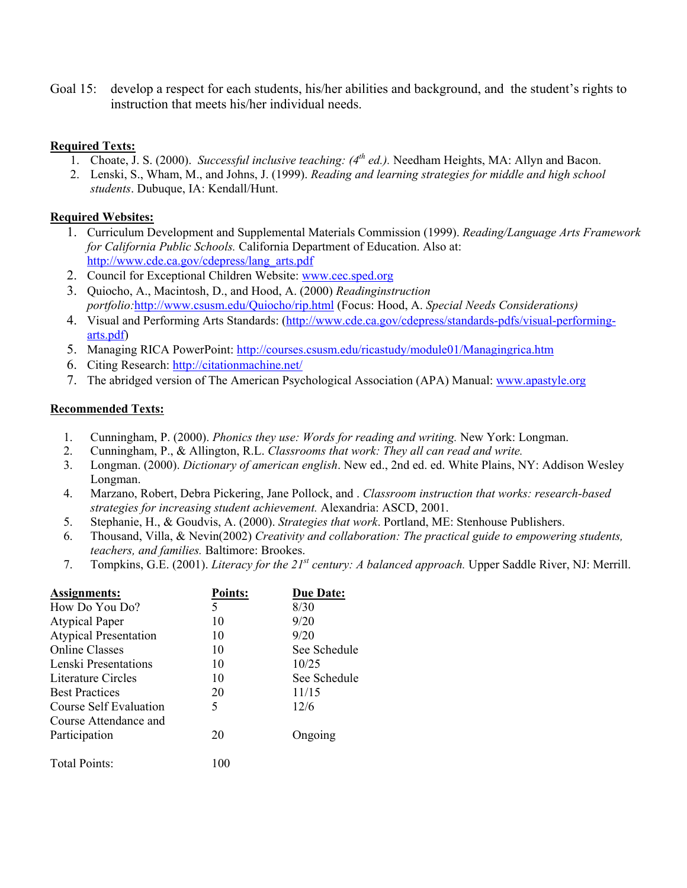Goal 15: develop a respect for each students, his/her abilities and background, and the student's rights to instruction that meets his/her individual needs.

## **Required Texts:**

- 1. Choate, J. S. (2000). *Successful inclusive teaching: (4th ed.).* Needham Heights, MA: Allyn and Bacon.
- 2. Lenski, S., Wham, M., and Johns, J. (1999). *Reading and learning strategies for middle and high school students*. Dubuque, IA: Kendall/Hunt.

## **Required Websites:**

- 1. Curriculum Development and Supplemental Materials Commission (1999). *Reading/Language Arts Framework for California Public Schools.* California Department of Education. Also at: http://www.cde.ca.gov/cdepress/lang\_arts.pdf
- 2. Council for Exceptional Children Website: www.cec.sped.org
- 3. Quiocho, A., Macintosh, D., and Hood, A. (2000) *Readinginstruction portfolio:*http://www.csusm.edu/Quiocho/rip.html (Focus: Hood, A. *Special Needs Considerations)*
- 4. Visual and Performing Arts Standards: (http://www.cde.ca.gov/cdepress/standards-pdfs/visual-performingarts.pdf)
- 5. Managing RICA PowerPoint: http://courses.csusm.edu/ricastudy/module01/Managingrica.htm
- 6. Citing Research: http://citationmachine.net/
- 7. The abridged version of The American Psychological Association (APA) Manual: www.apastyle.org

## **Recommended Texts:**

- 1. Cunningham, P. (2000). *Phonics they use: Words for reading and writing.* New York: Longman.
- 2. Cunningham, P., & Allington, R.L. *Classrooms that work: They all can read and write.*
- 3. Longman. (2000). *Dictionary of american english*. New ed., 2nd ed. ed. White Plains, NY: Addison Wesley Longman.
- 4. Marzano, Robert, Debra Pickering, Jane Pollock, and . *Classroom instruction that works: research-based strategies for increasing student achievement.* Alexandria: ASCD, 2001.
- 5. Stephanie, H., & Goudvis, A. (2000). *Strategies that work*. Portland, ME: Stenhouse Publishers.
- 6. Thousand, Villa, & Nevin(2002) *Creativity and collaboration: The practical guide to empowering students, teachers, and families.* Baltimore: Brookes.
- 7. Tompkins, G.E. (2001). *Literacy for the 21st century: A balanced approach.* Upper Saddle River, NJ: Merrill.

| Assignments:                 | <b>Points:</b> | <b>Due Date:</b> |
|------------------------------|----------------|------------------|
| How Do You Do?               | 5              | 8/30             |
| <b>Atypical Paper</b>        | 10             | 9/20             |
| <b>Atypical Presentation</b> | 10             | 9/20             |
| <b>Online Classes</b>        | 10             | See Schedule     |
| Lenski Presentations         | 10             | 10/25            |
| Literature Circles           | 10             | See Schedule     |
| <b>Best Practices</b>        | 20             | 11/15            |
| Course Self Evaluation       | 5              | 12/6             |
| Course Attendance and        |                |                  |
| Participation                | 20             | Ongoing          |
| <b>Total Points:</b>         | 100            |                  |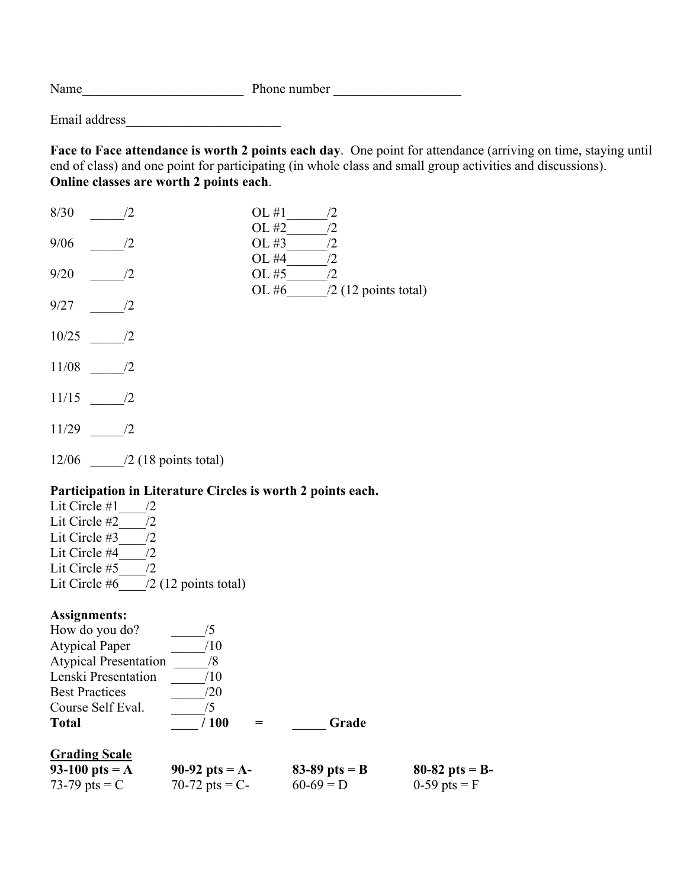Name\_\_\_\_\_\_\_\_\_\_\_\_\_\_\_\_\_\_\_\_\_\_\_\_ Phone number \_\_\_\_\_\_\_\_\_\_\_\_\_\_\_\_\_\_\_

Email address\_\_\_\_\_\_\_\_\_\_\_\_\_\_\_\_\_\_\_\_\_\_\_

**Face to Face attendance is worth 2 points each day**. One point for attendance (arriving on time, staying until end of class) and one point for participating (in whole class and small group activities and discussions). **Online classes are worth 2 points each**.

| 8/30  | $\sqrt{2}$             | OL #1<br>$\sqrt{2}$<br>OL #2<br>/2   |
|-------|------------------------|--------------------------------------|
| 9/06  | /2                     | OL #3<br>/2                          |
| 9/20  | /2                     | OL #4<br>$\sqrt{2}$<br>OL #5<br>/2   |
| 9/27  | /2                     | OL#6<br>$\sqrt{2}$ (12 points total) |
| 10/25 | /2                     |                                      |
| 11/08 | /2                     |                                      |
| 11/15 | /2                     |                                      |
| 11/29 | /2                     |                                      |
| 12/06 | $/2$ (18 points total) |                                      |

# **Participation in Literature Circles is worth 2 points each.**

Lit Circle  $#1$  /2 Lit Circle  $#2$  /2 Lit Circle #3  $\overline{\qquad}$  /2 Lit Circle  $#4$  /2 Lit Circle #5  $/2$ Lit Circle  $\#6$  /2 (12 points total)

# **Assignments:**

| 73-79 pts = $C$              | 70-72 pts = $C-$ | $60-69 = D$     | 0-59 pts = $F$    |
|------------------------------|------------------|-----------------|-------------------|
| 93-100 pts = $A$             | 90-92 pts = $A-$ | 83-89 pts = $B$ | 80-82 pts = $B$ - |
| <b>Grading Scale</b>         |                  |                 |                   |
| <b>Total</b>                 | /100             | Grade           |                   |
| Course Self Eval.            | '5               |                 |                   |
| <b>Best Practices</b>        | /20              |                 |                   |
| Lenski Presentation          | /10              |                 |                   |
| <b>Atypical Presentation</b> | 8/               |                 |                   |
| <b>Atypical Paper</b>        | /10              |                 |                   |
| How do you do?               | '5               |                 |                   |
|                              |                  |                 |                   |